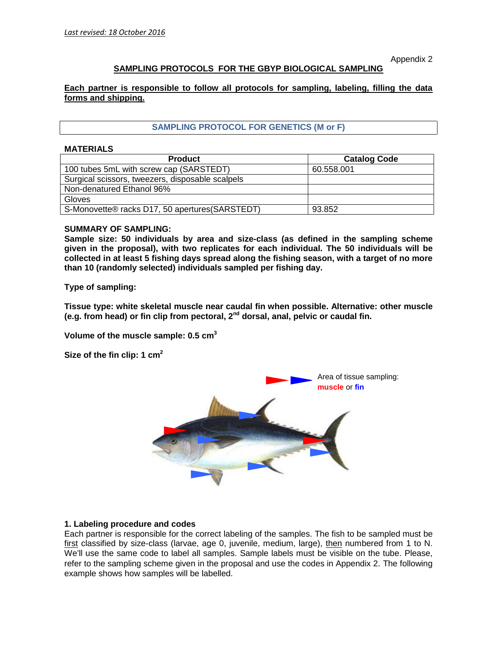Appendix 2

# **SAMPLING PROTOCOLS FOR THE GBYP BIOLOGICAL SAMPLING**

**Each partner is responsible to follow all protocols for sampling, labeling, filling the data forms and shipping.**

# **SAMPLING PROTOCOL FOR GENETICS (M or F)**

#### **MATERIALS**

| <b>Product</b>                                   | <b>Catalog Code</b> |
|--------------------------------------------------|---------------------|
| 100 tubes 5mL with screw cap (SARSTEDT)          | 60.558.001          |
| Surgical scissors, tweezers, disposable scalpels |                     |
| Non-denatured Ethanol 96%                        |                     |
| Gloves                                           |                     |
| S-Monovette® racks D17, 50 apertures (SARSTEDT)  | 93.852              |

#### **SUMMARY OF SAMPLING:**

**Sample size: 50 individuals by area and size-class (as defined in the sampling scheme given in the proposal), with two replicates for each individual. The 50 individuals will be collected in at least 5 fishing days spread along the fishing season, with a target of no more than 10 (randomly selected) individuals sampled per fishing day.**

**Type of sampling:**

**Tissue type: white skeletal muscle near caudal fin when possible. Alternative: other muscle (e.g. from head) or fin clip from pectoral, 2nd dorsal, anal, pelvic or caudal fin.**

**Volume of the muscle sample: 0.5 cm<sup>3</sup>**

**Size of the fin clip: 1 cm<sup>2</sup>**



#### **1. Labeling procedure and codes**

Each partner is responsible for the correct labeling of the samples. The fish to be sampled must be first classified by size-class (larvae, age 0, juvenile, medium, large), then numbered from 1 to N. We'll use the same code to label all samples. Sample labels must be visible on the tube. Please, refer to the sampling scheme given in the proposal and use the codes in Appendix 2. The following example shows how samples will be labelled.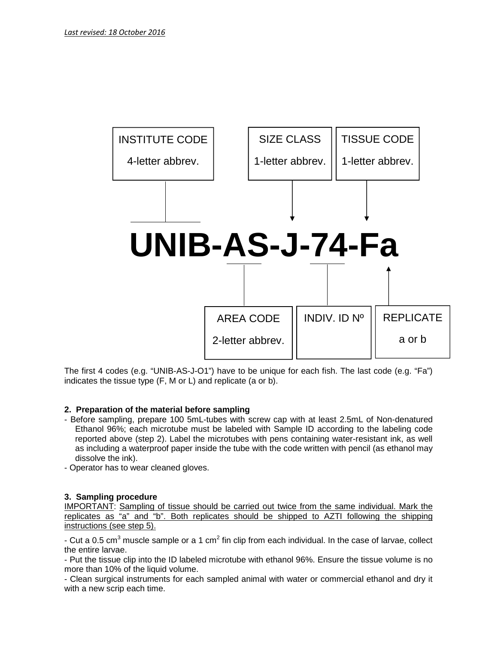

The first 4 codes (e.g. "UNIB-AS-J-O1") have to be unique for each fish.The last code (e.g. "Fa") indicates the tissue type (F, M or L) and replicate (a or b).

## **2. Preparation of the material before sampling**

- Before sampling, prepare 100 5mL-tubes with screw cap with at least 2.5mL of Non-denatured Ethanol 96%; each microtube must be labeled with Sample ID according to the labeling code reported above (step 2). Label the microtubes with pens containing water-resistant ink, as well as including a waterproof paper inside the tube with the code written with pencil (as ethanol may dissolve the ink).
- Operator has to wear cleaned gloves.

## **3. Sampling procedure**

IMPORTANT: Sampling of tissue should be carried out twice from the same individual. Mark the replicates as "a" and "b". Both replicates should be shipped to AZTI following the shipping instructions (see step 5).

- Cut a 0.5 cm<sup>3</sup> muscle sample or a 1 cm<sup>2</sup> fin clip from each individual. In the case of larvae, collect the entire larvae.

- Put the tissue clip into the ID labeled microtube with ethanol 96%. Ensure the tissue volume is no more than 10% of the liquid volume.

- Clean surgical instruments for each sampled animal with water or commercial ethanol and dry it with a new scrip each time.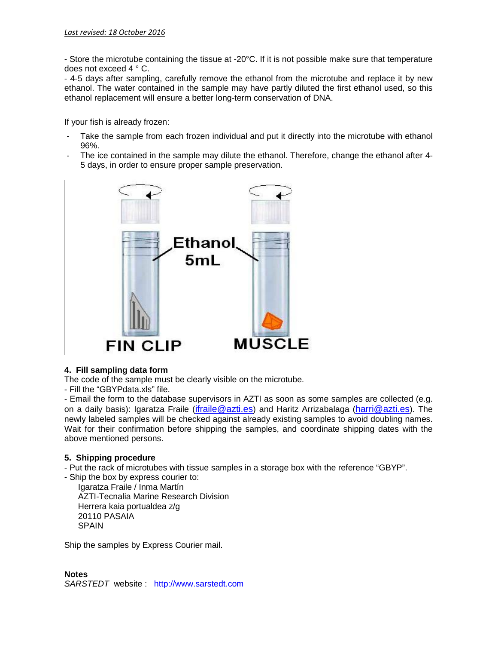- Store the microtube containing the tissue at -20°C. If it is not possible make sure that temperature does not exceed 4 ° C.

- 4-5 days after sampling, carefully remove the ethanol from the microtube and replace it by new ethanol. The water contained in the sample may have partly diluted the first ethanol used, so this ethanol replacement will ensure a better long-term conservation of DNA.

If your fish is already frozen:

- Take the sample from each frozen individual and put it directly into the microtube with ethanol 96%.
- The ice contained in the sample may dilute the ethanol. Therefore, change the ethanol after 4- 5 days, in order to ensure proper sample preservation.



## **4. Fill sampling data form**

The code of the sample must be clearly visible on the microtube.

- Fill the "GBYPdata.xls" file.

- Email the form to the database supervisors in AZTI as soon as some samples are collected (e.g. on a daily basis): Igaratza Fraile (*ifraile@azti.es*) and Haritz Arrizabalaga (*harri@azti.es*). The newly labeled samples will be checked against already existing samples to avoid doubling names. Wait for their confirmation before shipping the samples, and coordinate shipping dates with the above mentioned persons.

## **5. Shipping procedure**

- Put the rack of microtubes with tissue samples in a storage box with the reference "GBYP".

- Ship the box by express courier to: Igaratza Fraile / Inma Martín AZTI-Tecnalia Marine Research Division Herrera kaia portualdea z/g 20110 PASAIA SPAIN

Ship the samples by Express Courier mail.

**Notes** *SARSTEDT* website : http://www.sarstedt.com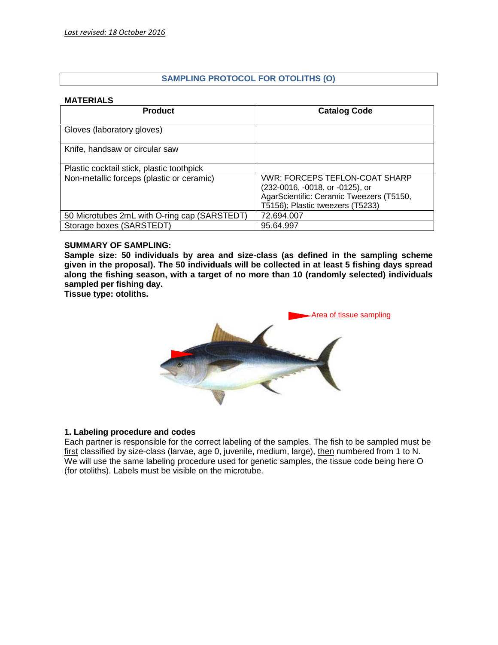# **SAMPLING PROTOCOL FOR OTOLITHS (O)**

## **MATERIALS**

| <b>Product</b>                               | <b>Catalog Code</b>                                                                                                                                      |
|----------------------------------------------|----------------------------------------------------------------------------------------------------------------------------------------------------------|
| Gloves (laboratory gloves)                   |                                                                                                                                                          |
| Knife, handsaw or circular saw               |                                                                                                                                                          |
| Plastic cocktail stick, plastic toothpick    |                                                                                                                                                          |
| Non-metallic forceps (plastic or ceramic)    | <b>VWR: FORCEPS TEFLON-COAT SHARP</b><br>(232-0016, -0018, or -0125), or<br>AgarScientific: Ceramic Tweezers (T5150,<br>T5156); Plastic tweezers (T5233) |
| 50 Microtubes 2mL with O-ring cap (SARSTEDT) | 72.694.007                                                                                                                                               |
| Storage boxes (SARSTEDT)                     | 95.64.997                                                                                                                                                |

#### **SUMMARY OF SAMPLING:**

**Sample size: 50 individuals by area and size-class (as defined in the sampling scheme given in the proposal). The 50 individuals will be collected in at least 5 fishing days spread along the fishing season, with a target of no more than 10 (randomly selected) individuals sampled per fishing day.**

**Tissue type: otoliths.**



## **1. Labeling procedure and codes**

Each partner is responsible for the correct labeling of the samples. The fish to be sampled must be first classified by size-class (larvae, age 0, juvenile, medium, large), then numbered from 1 to N. We will use the same labeling procedure used for genetic samples, the tissue code being here O (for otoliths). Labels must be visible on the microtube.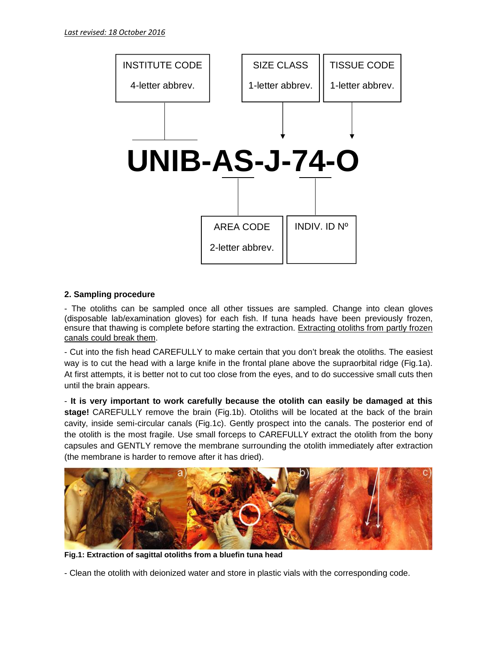

# **2. Sampling procedure**

- The otoliths can be sampled once all other tissues are sampled. Change into clean gloves (disposable lab/examination gloves) for each fish. If tuna heads have been previously frozen, ensure that thawing is complete before starting the extraction. Extracting otoliths from partly frozen canals could break them.

- Cut into the fish head CAREFULLY to make certain that you don't break the otoliths. The easiest way is to cut the head with a large knife in the frontal plane above the supraorbital ridge (Fig.1a). At first attempts, it is better not to cut too close from the eyes, and to do successive small cuts then until the brain appears.

- **It is very important to work carefully because the otolith can easily be damaged at this stage!** CAREFULLY remove the brain (Fig.1b). Otoliths will be located at the back of the brain cavity, inside semi-circular canals (Fig.1c). Gently prospect into the canals. The posterior end of the otolith is the most fragile. Use small forceps to CAREFULLY extract the otolith from the bony capsules and GENTLY remove the membrane surrounding the otolith immediately after extraction (the membrane is harder to remove after it has dried).



**Fig.1: Extraction of sagittal otoliths from a bluefin tuna head**

- Clean the otolith with deionized water and store in plastic vials with the corresponding code.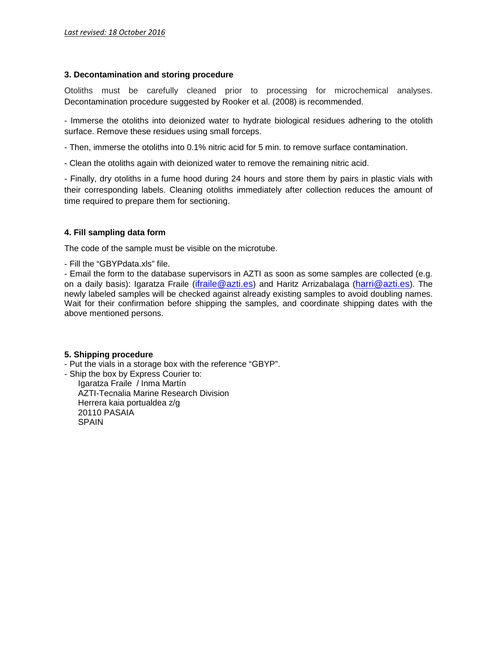## **3. Decontamination and storing procedure**

Otoliths must be carefully cleaned prior to processing for microchemical analyses. Decontamination procedure suggested by Rooker et al. (2008) is recommended.

- Immerse the otoliths into deionized water to hydrate biological residues adhering to the otolith surface. Remove these residues using small forceps.

- Then, immerse the otoliths into 0.1% nitric acid for 5 min. to remove surface contamination.

- Clean the otoliths again with deionized water to remove the remaining nitric acid.

- Finally, dry otoliths in a fume hood during 24 hours and store them by pairs in plastic vials with their corresponding labels. Cleaning otoliths immediately after collection reduces the amount of time required to prepare them for sectioning.

## **4. Fill sampling data form**

The code of the sample must be visible on the microtube.

- Fill the "GBYPdata.xls" file.

- Email the form to the database supervisors in AZTI as soon as some samples are collected (e.g. on a daily basis): Igaratza Fraile (ifraile@azti.es) and Haritz Arrizabalaga (harri@azti.es). The newly labeled samples will be checked against already existing samples to avoid doubling names. Wait for their confirmation before shipping the samples, and coordinate shipping dates with the above mentioned persons.

## **5. Shipping procedure**

- Put the vials in a storage box with the reference "GBYP".

- Ship the box by Express Courier to:

Igaratza Fraile / Inma Martín AZTI-Tecnalia Marine Research Division Herrera kaia portualdea z/g 20110 PASAIA **SPAIN**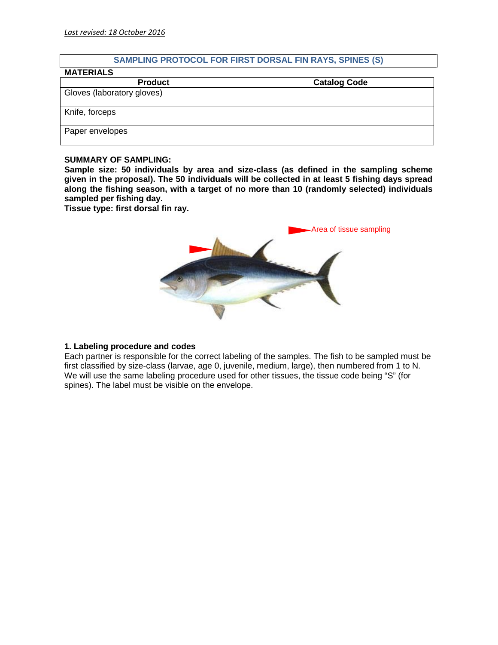# **SAMPLING PROTOCOL FOR FIRST DORSAL FIN RAYS, SPINES (S)**

| <b>MATERIALS</b>           |                     |
|----------------------------|---------------------|
| <b>Product</b>             | <b>Catalog Code</b> |
| Gloves (laboratory gloves) |                     |
| Knife, forceps             |                     |
| Paper envelopes            |                     |

#### **SUMMARY OF SAMPLING:**

**Sample size: 50 individuals by area and size-class (as defined in the sampling scheme given in the proposal). The 50 individuals will be collected in at least 5 fishing days spread along the fishing season, with a target of no more than 10 (randomly selected) individuals sampled per fishing day.**

**Tissue type: first dorsal fin ray.**



## **1. Labeling procedure and codes**

Each partner is responsible for the correct labeling of the samples. The fish to be sampled must be first classified by size-class (larvae, age 0, juvenile, medium, large), then numbered from 1 to N. We will use the same labeling procedure used for other tissues, the tissue code being "S" (for spines). The label must be visible on the envelope.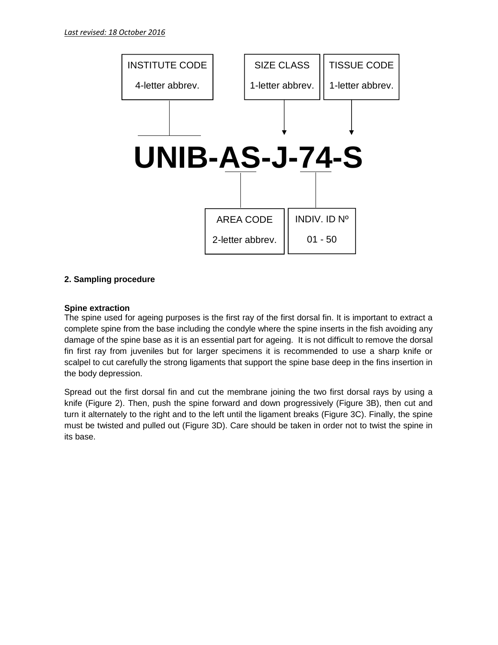

# **2. Sampling procedure**

## **Spine extraction**

The spine used for ageing purposes is the first ray of the first dorsal fin. It is important to extract a complete spine from the base including the condyle where the spine inserts in the fish avoiding any damage of the spine base as it is an essential part for ageing. It is not difficult to remove the dorsal fin first ray from juveniles but for larger specimens it is recommended to use a sharp knife or scalpel to cut carefully the strong ligaments that support the spine base deep in the fins insertion in the body depression.

Spread out the first dorsal fin and cut the membrane joining the two first dorsal rays by using a knife (Figure 2). Then, push the spine forward and down progressively (Figure 3B), then cut and turn it alternately to the right and to the left until the ligament breaks (Figure 3C). Finally, the spine must be twisted and pulled out (Figure 3D). Care should be taken in order not to twist the spine in its base.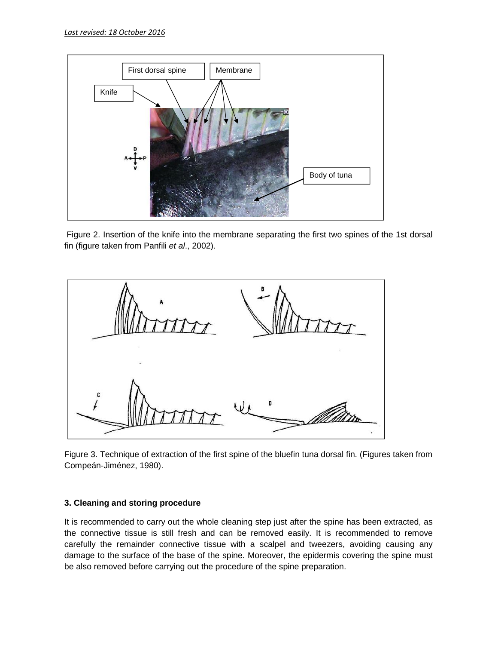

Figure 2. Insertion of the knife into the membrane separating the first two spines of the 1st dorsal fin (figure taken from Panfili *et al*., 2002).



Figure 3. Technique of extraction of the first spine of the bluefin tuna dorsal fin. (Figures taken from Compeán-Jiménez, 1980).

## **3. Cleaning and storing procedure**

It is recommended to carry out the whole cleaning step just after the spine has been extracted, as the connective tissue is still fresh and can be removed easily. It is recommended to remove carefully the remainder connective tissue with a scalpel and tweezers, avoiding causing any damage to the surface of the base of the spine. Moreover, the epidermis covering the spine must be also removed before carrying out the procedure of the spine preparation.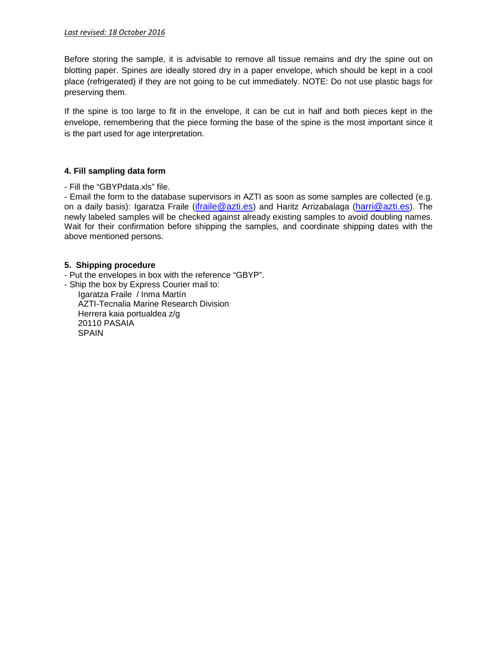Before storing the sample, it is advisable to remove all tissue remains and dry the spine out on blotting paper. Spines are ideally stored dry in a paper envelope, which should be kept in a cool place (refrigerated) if they are not going to be cut immediately. NOTE: Do not use plastic bags for preserving them.

If the spine is too large to fit in the envelope, it can be cut in half and both pieces kept in the envelope, remembering that the piece forming the base of the spine is the most important since it is the part used for age interpretation.

#### **4. Fill sampling data form**

- Fill the "GBYPdata.xls" file.

- Email the form to the database supervisors in AZTI as soon as some samples are collected (e.g. on a daily basis): Igaratza Fraile (*ifraile@azti.es*) and Haritz Arrizabalaga (*harri@azti.es*). The newly labeled samples will be checked against already existing samples to avoid doubling names. Wait for their confirmation before shipping the samples, and coordinate shipping dates with the above mentioned persons.

#### **5. Shipping procedure**

- Put the envelopes in box with the reference "GBYP".
- Ship the box by Express Courier mail to: Igaratza Fraile / Inma Martín AZTI-Tecnalia Marine Research Division Herrera kaia portualdea z/g 20110 PASAIA SPAIN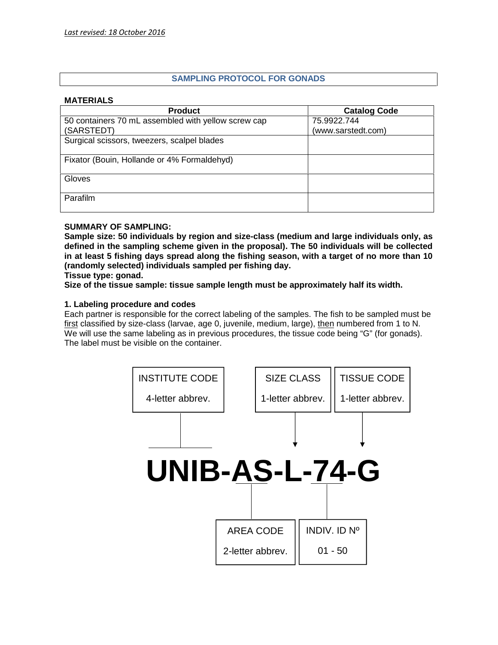# **SAMPLING PROTOCOL FOR GONADS**

#### **MATERIALS**

| <b>Product</b>                                      | <b>Catalog Code</b> |
|-----------------------------------------------------|---------------------|
| 50 containers 70 mL assembled with yellow screw cap | 75.9922.744         |
| (SARSTEDT)                                          | (www.sarstedt.com)  |
| Surgical scissors, tweezers, scalpel blades         |                     |
|                                                     |                     |
| Fixator (Bouin, Hollande or 4% Formaldehyd)         |                     |
| Gloves                                              |                     |
|                                                     |                     |
| Parafilm                                            |                     |
|                                                     |                     |

## **SUMMARY OF SAMPLING:**

**Sample size: 50 individuals by region and size-class (medium and large individuals only, as defined in the sampling scheme given in the proposal). The 50 individuals will be collected in at least 5 fishing days spread along the fishing season, with a target of no more than 10 (randomly selected) individuals sampled per fishing day.**

**Tissue type: gonad.**

**Size of the tissue sample: tissue sample length must be approximately half its width.**

## **1. Labeling procedure and codes**

Each partner is responsible for the correct labeling of the samples. The fish to be sampled must be first classified by size-class (larvae, age 0, juvenile, medium, large), then numbered from 1 to N. We will use the same labeling as in previous procedures, the tissue code being "G" (for gonads). The label must be visible on the container.

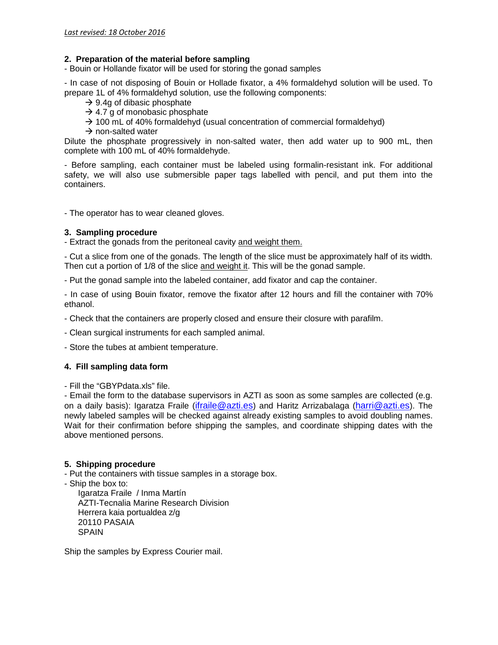#### **2. Preparation of the material before sampling**

- Bouin or Hollande fixator will be used for storing the gonad samples

- In case of not disposing of Bouin or Hollade fixator, a 4% formaldehyd solution will be used. To prepare 1L of 4% formaldehyd solution, use the following components:

- $\rightarrow$  9.4g of dibasic phosphate
- $\rightarrow$  4.7 g of monobasic phosphate
- $\rightarrow$  100 mL of 40% formaldehyd (usual concentration of commercial formaldehyd)
- $\rightarrow$  non-salted water

Dilute the phosphate progressively in non-salted water, then add water up to 900 mL, then complete with 100 mL of 40% formaldehyde.

- Before sampling, each container must be labeled using formalin-resistant ink. For additional safety, we will also use submersible paper tags labelled with pencil, and put them into the containers.

- The operator has to wear cleaned gloves.

#### **3. Sampling procedure**

- Extract the gonads from the peritoneal cavity and weight them.

- Cut a slice from one of the gonads. The length of the slice must be approximately half of its width. Then cut a portion of 1/8 of the slice and weight it. This will be the gonad sample.

- Put the gonad sample into the labeled container, add fixator and cap the container.

- In case of using Bouin fixator, remove the fixator after 12 hours and fill the container with 70% ethanol.

- Check that the containers are properly closed and ensure their closure with parafilm.

- Clean surgical instruments for each sampled animal.

- Store the tubes at ambient temperature.

## **4. Fill sampling data form**

- Fill the "GBYPdata.xls" file.

- Email the form to the database supervisors in AZTI as soon as some samples are collected (e.g. on a daily basis): Igaratza Fraile (ifraile@azti.es) and Haritz Arrizabalaga (harri@azti.es). The newly labeled samples will be checked against already existing samples to avoid doubling names. Wait for their confirmation before shipping the samples, and coordinate shipping dates with the above mentioned persons.

## **5. Shipping procedure**

- Put the containers with tissue samples in a storage box.

- Ship the box to:

Igaratza Fraile / Inma Martín AZTI-Tecnalia Marine Research Division Herrera kaia portualdea z/g 20110 PASAIA SPAIN

Ship the samples by Express Courier mail.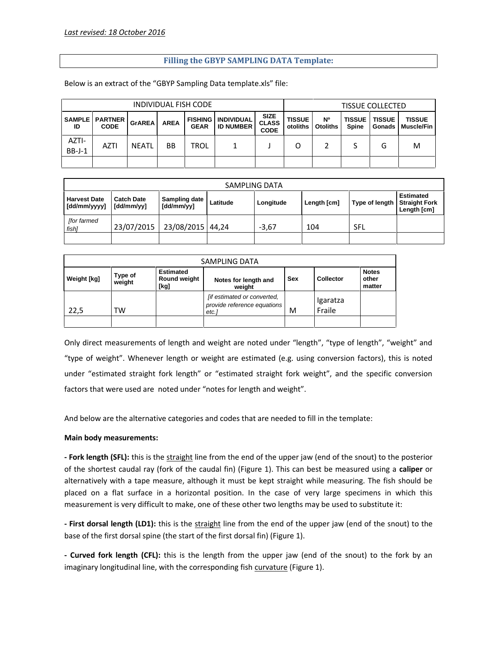# **Filling the GBYP SAMPLING DATA Template:**

Below is an extract of the "GBYP Sampling Data template.xls" file:

| INDIVIDUAL FISH CODE |                                          |               |             |                               | <b>TISSUE COLLECTED</b>               |                                            |                           |                              |                        |                         |                             |
|----------------------|------------------------------------------|---------------|-------------|-------------------------------|---------------------------------------|--------------------------------------------|---------------------------|------------------------------|------------------------|-------------------------|-----------------------------|
| ID                   | <b>SAMPLE   PARTNER  </b><br><b>CODE</b> | <b>GrAREA</b> | <b>AREA</b> | <b>FISHING</b><br><b>GEAR</b> | <b>INDIVIDUAL</b><br><b>ID NUMBER</b> | <b>SIZE</b><br><b>CLASS</b><br><b>CODE</b> | <b>TISSUE</b><br>otoliths | <b>N°</b><br><b>Otoliths</b> | <b>TISSUE</b><br>Spine | <b>TISSUE</b><br>Gonads | <b>TISSUE</b><br>Muscle/Fin |
| AZTI-<br>$BB-J-1$    | <b>AZTI</b>                              | <b>NEATL</b>  | <b>BB</b>   | <b>TROL</b>                   |                                       |                                            | 0                         |                              |                        | G                       | M                           |
|                      |                                          |               |             |                               |                                       |                                            |                           |                              |                        |                         |                             |

|                                     |                                 |                             |          | SAMPLING DATA |             |                |                                                         |
|-------------------------------------|---------------------------------|-----------------------------|----------|---------------|-------------|----------------|---------------------------------------------------------|
| <b>Harvest Date</b><br>[dd/mm/yyyy] | <b>Catch Date</b><br>[dd/mm/yy] | Sampling date<br>[dd/mm/yy] | Latitude | Longitude     | Length [cm] | Type of length | <b>Estimated</b><br><b>Straight Fork</b><br>Length [cm] |
| <b>for farmed</b><br>fish]          | 23/07/2015                      | 23/08/2015 44,24            |          | $-3.67$       | 104         | SFL            |                                                         |
|                                     |                                 |                             |          |               |             |                |                                                         |

| SAMPLING DATA      |                   |                                          |                                                                    |     |                    |                                 |
|--------------------|-------------------|------------------------------------------|--------------------------------------------------------------------|-----|--------------------|---------------------------------|
| <b>Weight [kg]</b> | Type of<br>weight | <b>Estimated</b><br>Round weight<br>[kg] | Notes for length and<br>weight                                     | Sex | <b>Collector</b>   | <b>Notes</b><br>other<br>matter |
| 22,5               | TW                |                                          | [if estimated or converted,<br>provide reference equations<br>etc. | M   | Igaratza<br>Fraile |                                 |
|                    |                   |                                          |                                                                    |     |                    |                                 |

Only direct measurements of length and weight are noted under "length", "type of length", "weight" and "type of weight". Whenever length or weight are estimated (e.g. using conversion factors), this is noted under "estimated straight fork length" or "estimated straight fork weight", and the specific conversion factors that were used are noted under "notes for length and weight".

And below are the alternative categories and codes that are needed to fill in the template:

#### **Main body measurements:**

**- Fork length (SFL):** this is the straight line from the end of the upper jaw (end of the snout) to the posterior of the shortest caudal ray (fork of the caudal fin) (Figure 1). This can best be measured using a **caliper** or alternatively with a tape measure, although it must be kept straight while measuring. The fish should be placed on a flat surface in a horizontal position. In the case of very large specimens in which this measurement is very difficult to make, one of these other two lengths may be used to substitute it:

**- First dorsal length (LD1):** this is the straight line from the end of the upper jaw (end of the snout) to the base of the first dorsal spine (the start of the first dorsal fin) (Figure 1).

**- Curved fork length (CFL):** this is the length from the upper jaw (end of the snout) to the fork by an imaginary longitudinal line, with the corresponding fish curvature (Figure 1).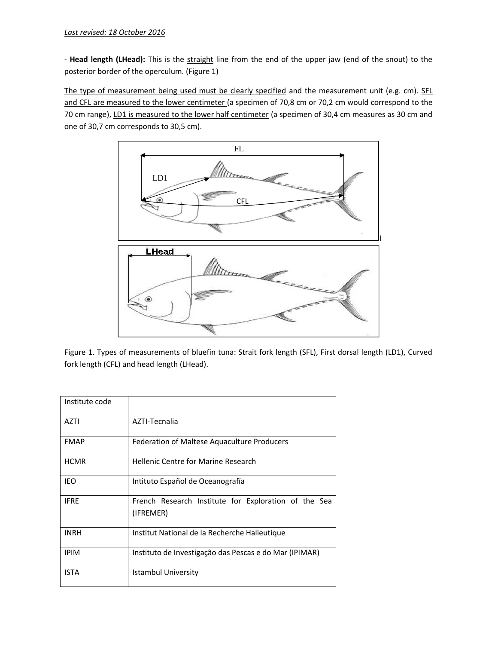- Head length (LHead): This is the straight line from the end of the upper jaw (end of the snout) to the posterior border of the operculum. (Figure 1)

The type of measurement being used must be clearly specified and the measurement unit (e.g. cm). SFL and CFL are measured to the lower centimeter (a specimen of 70,8 cm or 70,2 cm would correspond to the 70 cm range), LD1 is measured to the lower half centimeter (a specimen of 30,4 cm measures as 30 cm and one of 30,7 cm corresponds to 30,5 cm).



Figure 1. Types of measurements of bluefin tuna: Strait fork length (SFL), First dorsal length (LD1), Curved fork length (CFL) and head length (LHead).

| Institute code |                                                                   |
|----------------|-------------------------------------------------------------------|
| AZTI           | AZTI-Tecnalia                                                     |
| <b>FMAP</b>    | Federation of Maltese Aquaculture Producers                       |
| <b>HCMR</b>    | <b>Hellenic Centre for Marine Research</b>                        |
| <b>IEO</b>     | Intituto Español de Oceanografía                                  |
| <b>IFRE</b>    | French Research Institute for Exploration of the Sea<br>(IFREMER) |
| <b>INRH</b>    | Institut National de la Recherche Halieutique                     |
| <b>IPIM</b>    | Instituto de Investigação das Pescas e do Mar (IPIMAR)            |
| <b>ISTA</b>    | <b>Istambul University</b>                                        |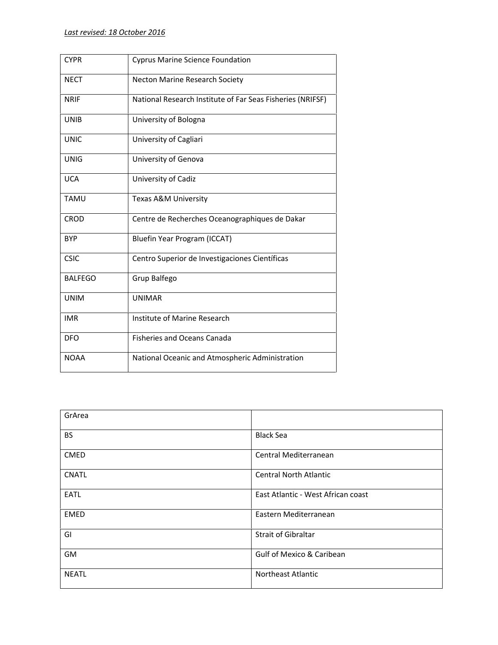| <b>CYPR</b>    | <b>Cyprus Marine Science Foundation</b>                    |
|----------------|------------------------------------------------------------|
| <b>NECT</b>    | Necton Marine Research Society                             |
| <b>NRIF</b>    | National Research Institute of Far Seas Fisheries (NRIFSF) |
| <b>UNIB</b>    | University of Bologna                                      |
| <b>UNIC</b>    | University of Cagliari                                     |
| <b>UNIG</b>    | University of Genova                                       |
| <b>UCA</b>     | University of Cadiz                                        |
| <b>TAMU</b>    | Texas A&M University                                       |
| <b>CROD</b>    | Centre de Recherches Oceanographiques de Dakar             |
| <b>BYP</b>     | Bluefin Year Program (ICCAT)                               |
| <b>CSIC</b>    | Centro Superior de Investigaciones Científicas             |
| <b>BALFEGO</b> | Grup Balfego                                               |
| <b>UNIM</b>    | <b>UNIMAR</b>                                              |
| <b>IMR</b>     | Institute of Marine Research                               |
| <b>DFO</b>     | <b>Fisheries and Oceans Canada</b>                         |
| <b>NOAA</b>    | National Oceanic and Atmospheric Administration            |
|                |                                                            |

| GrArea       |                                      |
|--------------|--------------------------------------|
| <b>BS</b>    | <b>Black Sea</b>                     |
| <b>CMED</b>  | Central Mediterranean                |
| <b>CNATL</b> | <b>Central North Atlantic</b>        |
| EATL         | East Atlantic - West African coast   |
| <b>EMED</b>  | Eastern Mediterranean                |
| GI           | <b>Strait of Gibraltar</b>           |
| GM           | <b>Gulf of Mexico &amp; Caribean</b> |
| <b>NEATL</b> | <b>Northeast Atlantic</b>            |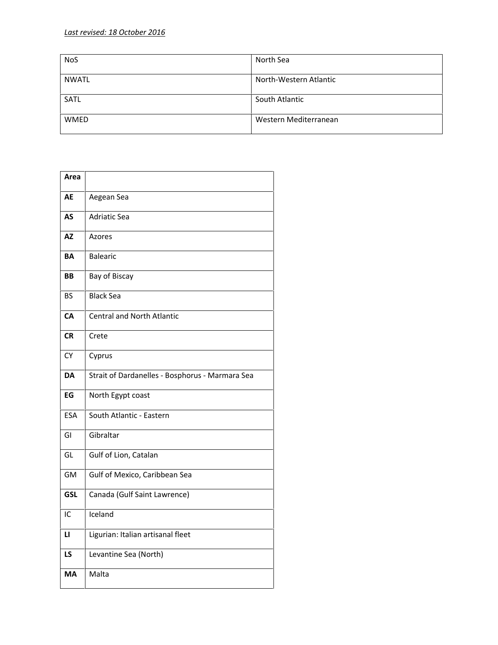| <b>NoS</b>   | North Sea              |
|--------------|------------------------|
| <b>NWATL</b> | North-Western Atlantic |
| <b>SATL</b>  | South Atlantic         |
| <b>WMED</b>  | Western Mediterranean  |

| Area       |                                                 |
|------------|-------------------------------------------------|
| AE         | Aegean Sea                                      |
| AS         | <b>Adriatic Sea</b>                             |
| <b>AZ</b>  | Azores                                          |
| ΒA         | <b>Balearic</b>                                 |
| <b>BB</b>  | Bay of Biscay                                   |
| <b>BS</b>  | <b>Black Sea</b>                                |
| CA         | <b>Central and North Atlantic</b>               |
| <b>CR</b>  | Crete                                           |
| CY.        | Cyprus                                          |
| DA         | Strait of Dardanelles - Bosphorus - Marmara Sea |
| EG         | North Egypt coast                               |
| <b>ESA</b> | South Atlantic - Eastern                        |
| GI         | Gibraltar                                       |
| GL         | Gulf of Lion, Catalan                           |
| GM         | Gulf of Mexico, Caribbean Sea                   |
| <b>GSL</b> | Canada (Gulf Saint Lawrence)                    |
| IC         | Iceland                                         |
| LI         | Ligurian: Italian artisanal fleet               |
| <b>LS</b>  | Levantine Sea (North)                           |
| <b>MA</b>  | Malta                                           |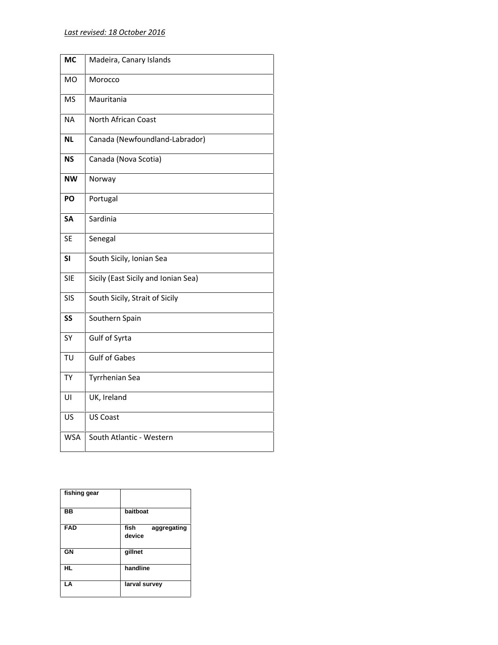| <b>MC</b>  | Madeira, Canary Islands             |
|------------|-------------------------------------|
| MO         | Morocco                             |
| <b>MS</b>  | Mauritania                          |
| <b>NA</b>  | North African Coast                 |
| <b>NL</b>  | Canada (Newfoundland-Labrador)      |
| <b>NS</b>  | Canada (Nova Scotia)                |
| <b>NW</b>  | Norway                              |
| PO         | Portugal                            |
| SА         | Sardinia                            |
| <b>SE</b>  | Senegal                             |
| SI         | South Sicily, Ionian Sea            |
| <b>SIE</b> | Sicily (East Sicily and Ionian Sea) |
| <b>SIS</b> | South Sicily, Strait of Sicily      |
| SS         | Southern Spain                      |
| SY         | Gulf of Syrta                       |
| TU         | <b>Gulf of Gabes</b>                |
| <b>TY</b>  | <b>Tyrrhenian Sea</b>               |
| UI         | UK, Ireland                         |
| US         | <b>US Coast</b>                     |
| <b>WSA</b> | South Atlantic - Western            |

| fishing gear |                               |
|--------------|-------------------------------|
| <b>BB</b>    | baitboat                      |
| <b>FAD</b>   | fish<br>aggregating<br>device |
| GN           | gillnet                       |
| HL           | handline                      |
| LA           | larval survey                 |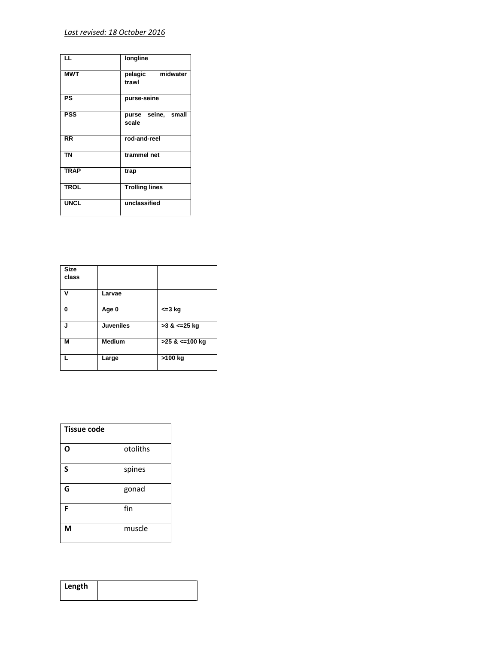| LL          | longline                    |
|-------------|-----------------------------|
| <b>MWT</b>  | pelagic midwater<br>trawl   |
| PS          | purse-seine                 |
| <b>PSS</b>  | purse seine, small<br>scale |
| <b>RR</b>   | rod-and-reel                |
| <b>TN</b>   | trammel net                 |
| <b>TRAP</b> | trap                        |
| <b>TROL</b> | <b>Trolling lines</b>       |
| <b>UNCL</b> | unclassified                |

| <b>Size</b><br>class |                  |                     |
|----------------------|------------------|---------------------|
| ν                    | Larvae           |                     |
| $\Omega$             | Age 0            | $\leq$ 3 kg         |
| J                    | <b>Juveniles</b> | $>3$ & $\leq$ 25 kg |
| M                    | <b>Medium</b>    | >25 & <= 100 kg     |
|                      | Large            | >100 kg             |

| <b>Tissue code</b> |          |
|--------------------|----------|
| O                  | otoliths |
| S                  | spines   |
| G                  | gonad    |
| F                  | fin      |
| M                  | muscle   |

| Length |  |  |
|--------|--|--|
|        |  |  |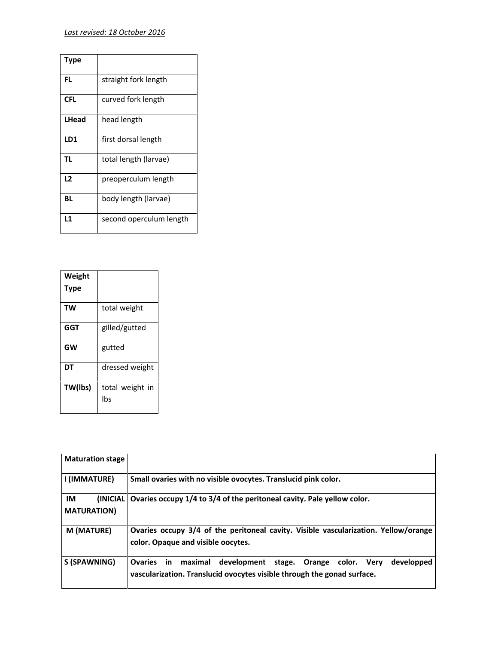| Type         |                         |
|--------------|-------------------------|
| FL           | straight fork length    |
| <b>CFL</b>   | curved fork length      |
| <b>LHead</b> | head length             |
| LD1          | first dorsal length     |
| <b>TL</b>    | total length (larvae)   |
| L2           | preoperculum length     |
| BL           | body length (larvae)    |
| L1           | second operculum length |

| Weight    |                        |  |
|-----------|------------------------|--|
| Type      |                        |  |
| <b>TW</b> | total weight           |  |
| GGT       | gilled/gutted          |  |
| <b>GW</b> | gutted                 |  |
| DT        | dressed weight         |  |
| TW(lbs)   | total weight in<br>lbs |  |

| <b>Maturation stage</b>                                  |                                                                                                                                                                   |
|----------------------------------------------------------|-------------------------------------------------------------------------------------------------------------------------------------------------------------------|
| I (IMMATURE)                                             | Small ovaries with no visible ovocytes. Translucid pink color.                                                                                                    |
| <b>IM</b><br><i><b>INICIAL</b></i><br><b>MATURATION)</b> | Ovaries occupy 1/4 to 3/4 of the peritoneal cavity. Pale yellow color.                                                                                            |
| M (MATURE)                                               | Ovaries occupy 3/4 of the peritoneal cavity. Visible vascularization. Yellow/orange<br>color. Opaque and visible oocytes.                                         |
| S (SPAWNING)                                             | <b>Ovaries</b><br>in<br>developped<br>maximal<br>development stage. Orange color. Very<br>vascularization. Translucid ovocytes visible through the gonad surface. |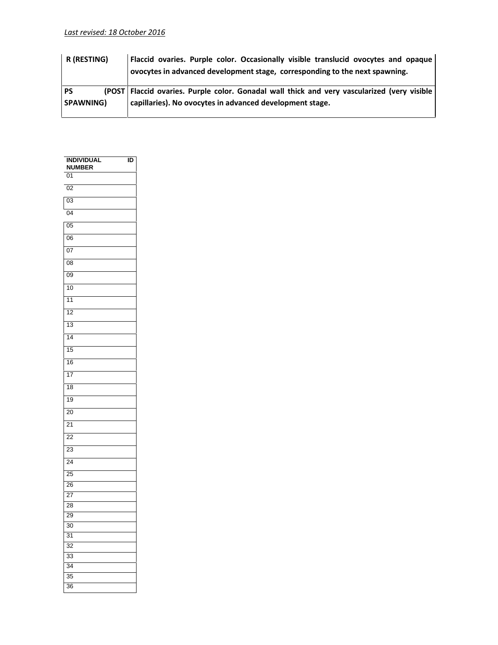| R (RESTING) | Flaccid ovaries. Purple color. Occasionally visible translucid ovocytes and opaque<br>ovocytes in advanced development stage, corresponding to the next spawning. |  |
|-------------|-------------------------------------------------------------------------------------------------------------------------------------------------------------------|--|
| <b>PS</b>   | (POST Flaccid ovaries. Purple color. Gonadal wall thick and very vascularized (very visible)                                                                      |  |
| SPAWNING)   | capillaries). No ovocytes in advanced development stage.                                                                                                          |  |
|             |                                                                                                                                                                   |  |

| <b>INDIVIDUAL</b><br><b>NUMBER</b> | ĪD |
|------------------------------------|----|
| 01                                 |    |
| $\overline{02}$                    |    |
| 03                                 |    |
| $\overline{04}$                    |    |
| $\overline{05}$                    |    |
| 06                                 |    |
| 07                                 |    |
| 08                                 |    |
| 09                                 |    |
| 10                                 |    |
| 11                                 |    |
| $\overline{12}$                    |    |
| 13                                 |    |
| 14                                 |    |
| $\overline{15}$                    |    |
| 16                                 |    |
| 17                                 |    |
| 18                                 |    |
| 19                                 |    |
| 20                                 |    |
| 21                                 |    |
| 22                                 |    |
| 23                                 |    |
| 24                                 |    |
| $\overline{25}$<br>26              |    |
| 27                                 |    |
| 28                                 |    |
| 29                                 |    |
| 30                                 |    |
| $\overline{31}$<br>$\overline{32}$ |    |
| 33                                 |    |
| 34                                 |    |
| 35                                 |    |
| 36                                 |    |